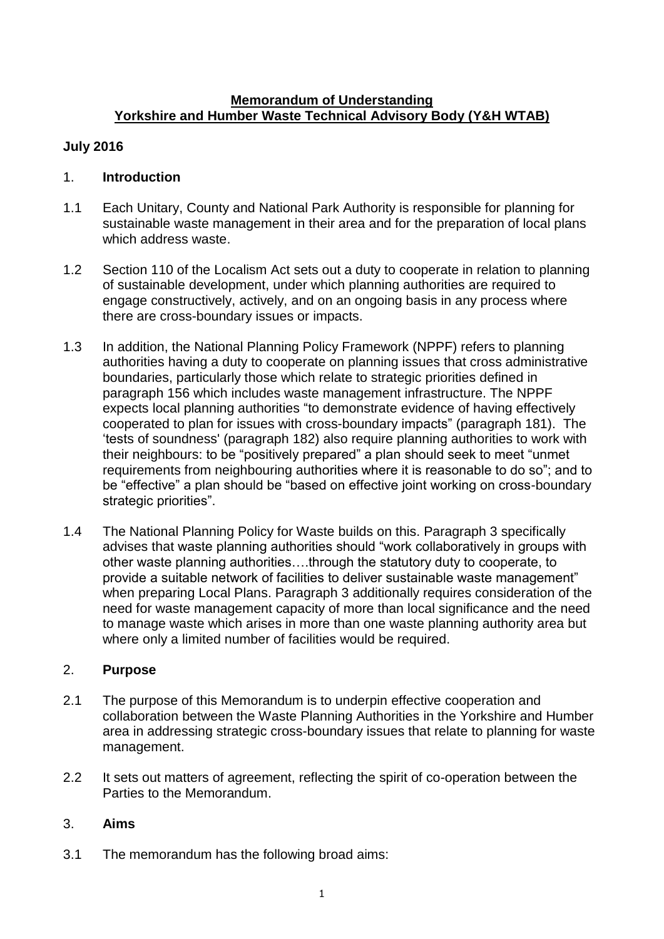#### **Memorandum of Understanding Yorkshire and Humber Waste Technical Advisory Body (Y&H WTAB)**

# **July 2016**

# 1. **Introduction**

- 1.1 Each Unitary, County and National Park Authority is responsible for planning for sustainable waste management in their area and for the preparation of local plans which address waste.
- 1.2 Section 110 of the Localism Act sets out a duty to cooperate in relation to planning of sustainable development, under which planning authorities are required to engage constructively, actively, and on an ongoing basis in any process where there are cross-boundary issues or impacts.
- 1.3 In addition, the National Planning Policy Framework (NPPF) refers to planning authorities having a duty to cooperate on planning issues that cross administrative boundaries, particularly those which relate to strategic priorities defined in paragraph 156 which includes waste management infrastructure. The NPPF expects local planning authorities "to demonstrate evidence of having effectively cooperated to plan for issues with cross-boundary impacts" (paragraph 181). The 'tests of soundness' (paragraph 182) also require planning authorities to work with their neighbours: to be "positively prepared" a plan should seek to meet "unmet requirements from neighbouring authorities where it is reasonable to do so"; and to be "effective" a plan should be "based on effective joint working on cross-boundary strategic priorities".
- 1.4 The National Planning Policy for Waste builds on this. Paragraph 3 specifically advises that waste planning authorities should "work collaboratively in groups with other waste planning authorities….through the statutory duty to cooperate, to provide a suitable network of facilities to deliver sustainable waste management" when preparing Local Plans. Paragraph 3 additionally requires consideration of the need for waste management capacity of more than local significance and the need to manage waste which arises in more than one waste planning authority area but where only a limited number of facilities would be required.

# 2. **Purpose**

- 2.1 The purpose of this Memorandum is to underpin effective cooperation and collaboration between the Waste Planning Authorities in the Yorkshire and Humber area in addressing strategic cross-boundary issues that relate to planning for waste management.
- 2.2 It sets out matters of agreement, reflecting the spirit of co-operation between the Parties to the Memorandum.

# 3. **Aims**

3.1 The memorandum has the following broad aims: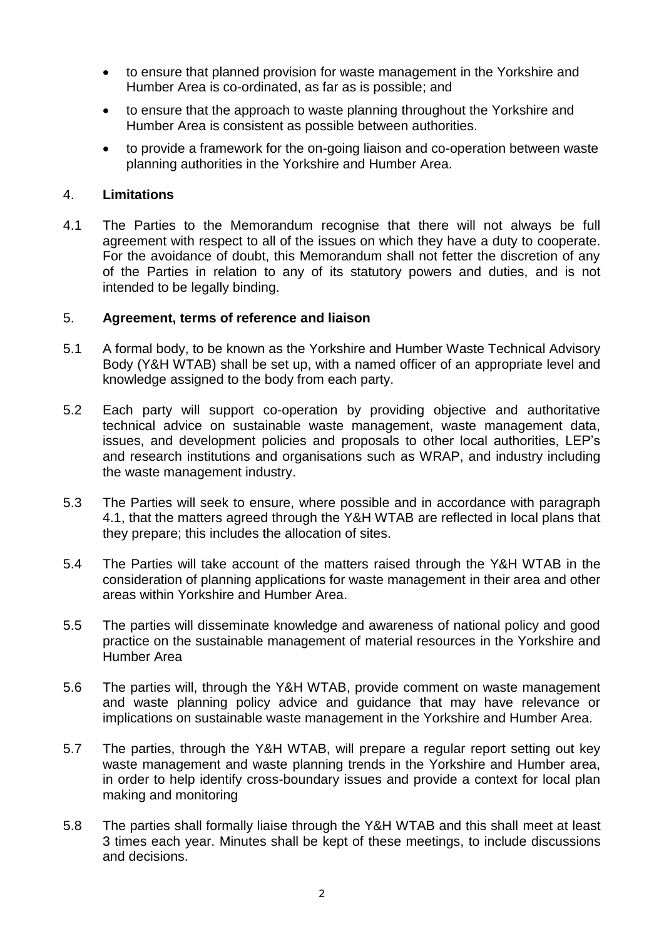- to ensure that planned provision for waste management in the Yorkshire and Humber Area is co-ordinated, as far as is possible; and
- to ensure that the approach to waste planning throughout the Yorkshire and Humber Area is consistent as possible between authorities.
- to provide a framework for the on-going liaison and co-operation between waste planning authorities in the Yorkshire and Humber Area.

### 4. **Limitations**

4.1 The Parties to the Memorandum recognise that there will not always be full agreement with respect to all of the issues on which they have a duty to cooperate. For the avoidance of doubt, this Memorandum shall not fetter the discretion of any of the Parties in relation to any of its statutory powers and duties, and is not intended to be legally binding.

#### 5. **Agreement, terms of reference and liaison**

- 5.1 A formal body, to be known as the Yorkshire and Humber Waste Technical Advisory Body (Y&H WTAB) shall be set up, with a named officer of an appropriate level and knowledge assigned to the body from each party.
- 5.2 Each party will support co-operation by providing objective and authoritative technical advice on sustainable waste management, waste management data, issues, and development policies and proposals to other local authorities, LEP's and research institutions and organisations such as WRAP, and industry including the waste management industry.
- 5.3 The Parties will seek to ensure, where possible and in accordance with paragraph 4.1, that the matters agreed through the Y&H WTAB are reflected in local plans that they prepare; this includes the allocation of sites.
- 5.4 The Parties will take account of the matters raised through the Y&H WTAB in the consideration of planning applications for waste management in their area and other areas within Yorkshire and Humber Area.
- 5.5 The parties will disseminate knowledge and awareness of national policy and good practice on the sustainable management of material resources in the Yorkshire and Humber Area
- 5.6 The parties will, through the Y&H WTAB, provide comment on waste management and waste planning policy advice and guidance that may have relevance or implications on sustainable waste management in the Yorkshire and Humber Area.
- 5.7 The parties, through the Y&H WTAB, will prepare a regular report setting out key waste management and waste planning trends in the Yorkshire and Humber area, in order to help identify cross-boundary issues and provide a context for local plan making and monitoring
- 5.8 The parties shall formally liaise through the Y&H WTAB and this shall meet at least 3 times each year. Minutes shall be kept of these meetings, to include discussions and decisions.